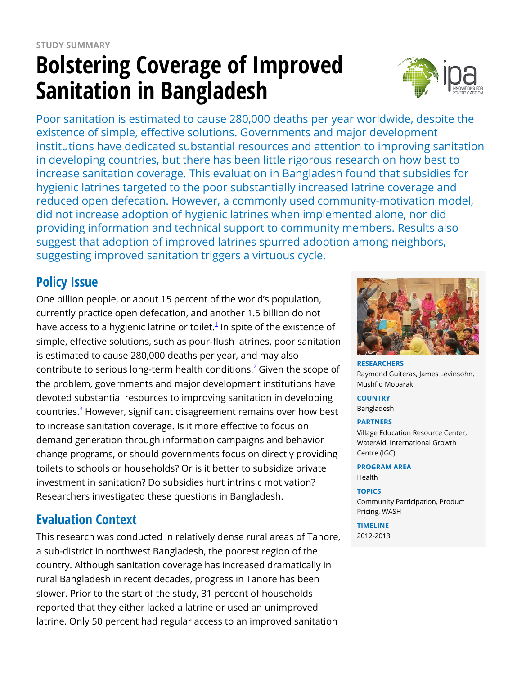# **Bolstering Coverage of Improved Sanitation in Bangladesh**



Poor sanitation is estimated to cause 280,000 deaths per year worldwide, despite the existence of simple, effective solutions. Governments and major development institutions have dedicated substantial resources and attention to improving sanitation in developing countries, but there has been little rigorous research on how best to increase sanitation coverage. This evaluation in Bangladesh found that subsidies for hygienic latrines targeted to the poor substantially increased latrine coverage and reduced open defecation. However, a commonly used community-motivation model, did not increase adoption of hygienic latrines when implemented alone, nor did providing information and technical support to community members. Results also suggest that adoption of improved latrines spurred adoption among neighbors, suggesting improved sanitation triggers a virtuous cycle.

## **Policy Issue**

One billion people, or about 15 percent of the world's population, currently practice open defecation, and another 1.5 billion do not have access to a hygienic latrine or toilet. $^1$  $^1$  In spite of the existence of simple, effective solutions, such as pour-flush latrines, poor sanitation is estimated to cause 280,000 deaths per year, and may also contribute to serious long-term health conditions. $^2$  $^2$  Given the scope of the problem, governments and major development institutions have devoted substantial resources to improving sanitation in developing countries.<sup>[3](https://www.poverty-action.org/printpdf/7216#_ftn3)</sup> However, significant disagreement remains over how best to increase sanitation coverage. Is it more effective to focus on demand generation through information campaigns and behavior change programs, or should governments focus on directly providing toilets to schools or households? Or is it better to subsidize private investment in sanitation? Do subsidies hurt intrinsic motivation? Researchers investigated these questions in Bangladesh.

## **Evaluation Context**

This research was conducted in relatively dense rural areas of Tanore, a sub-district in northwest Bangladesh, the poorest region of the country. Although sanitation coverage has increased dramatically in rural Bangladesh in recent decades, progress in Tanore has been slower. Prior to the start of the study, 31 percent of households reported that they either lacked a latrine or used an unimproved latrine. Only 50 percent had regular access to an improved sanitation



**RESEARCHERS** Raymond Guiteras, James Levinsohn, Mushfiq Mobarak

**COUNTRY** Bangladesh

#### **PARTNERS**

Village Education Resource Center, WaterAid, International Growth Centre (IGC)

**PROGRAM AREA**

Health

**TOPICS**

Community Participation, Product Pricing, WASH

**TIMELINE** 2012-2013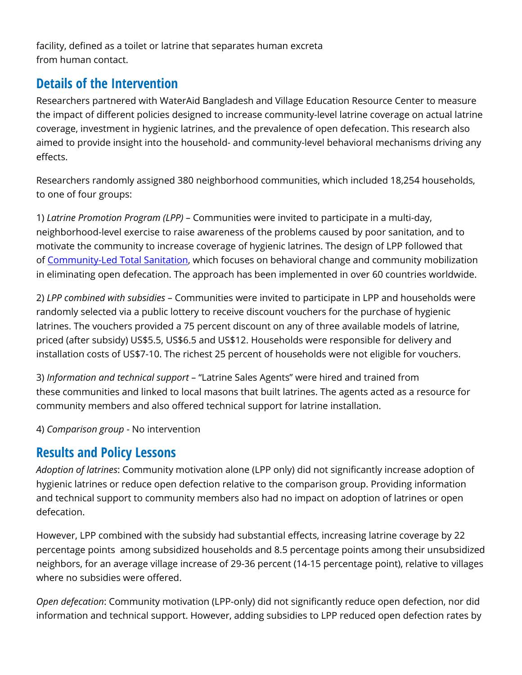facility, defined as a toilet or latrine that separates human excreta from human contact.

## **Details of the Intervention**

Researchers partnered with WaterAid Bangladesh and Village Education Resource Center to measure the impact of different policies designed to increase community-level latrine coverage on actual latrine coverage, investment in hygienic latrines, and the prevalence of open defecation. This research also aimed to provide insight into the household- and community-level behavioral mechanisms driving any effects.

Researchers randomly assigned 380 neighborhood communities, which included 18,254 households, to one of four groups:

1) *Latrine Promotion Program (LPP)* – Communities were invited to participate in a multi-day, neighborhood-level exercise to raise awareness of the problems caused by poor sanitation, and to motivate the community to increase coverage of hygienic latrines. The design of LPP followed that of [Community-Led Total Sanitation,](http://www.communityledtotalsanitation.org/) which focuses on behavioral change and community mobilization in eliminating open defecation. The approach has been implemented in over 60 countries worldwide.

2) *LPP combined with subsidies* – Communities were invited to participate in LPP and households were randomly selected via a public lottery to receive discount vouchers for the purchase of hygienic latrines. The vouchers provided a 75 percent discount on any of three available models of latrine, priced (after subsidy) US\$5.5, US\$6.5 and US\$12. Households were responsible for delivery and installation costs of US\$7-10. The richest 25 percent of households were not eligible for vouchers.

3) *Information and technical support* – "Latrine Sales Agents" were hired and trained from these communities and linked to local masons that built latrines. The agents acted as a resource for community members and also offered technical support for latrine installation.

4) *Comparison group* - No intervention

## **Results and Policy Lessons**

*Adoption of latrines*: Community motivation alone (LPP only) did not significantly increase adoption of hygienic latrines or reduce open defection relative to the comparison group. Providing information and technical support to community members also had no impact on adoption of latrines or open defecation.

However, LPP combined with the subsidy had substantial effects, increasing latrine coverage by 22 percentage points among subsidized households and 8.5 percentage points among their unsubsidized neighbors, for an average village increase of 29-36 percent (14-15 percentage point), relative to villages where no subsidies were offered.

*Open defecation*: Community motivation (LPP-only) did not significantly reduce open defection, nor did information and technical support. However, adding subsidies to LPP reduced open defection rates by